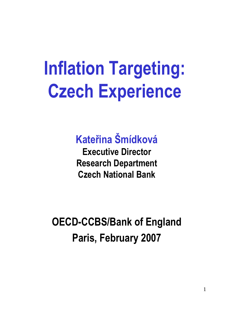## **Inflation Targeting: Czech Experience**

#### **Kateřina Šmídková**

**Executive Director Research Department Czech National Bank**

**OECD-CCBS/Bank of England Paris, February 2007**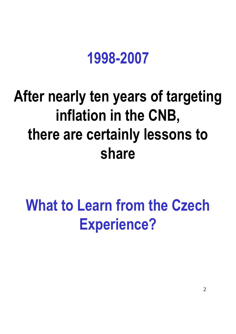### **1998-2007**

### **After nearly ten years of targeting inflation in the CNB, there are certainly lessons to share**

### **What to Learn from the Czech Experience?**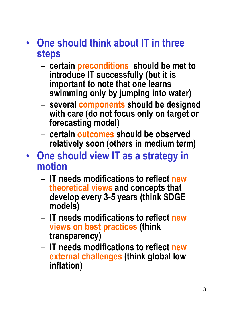- **One should think about IT in three steps**
	- **certain preconditions should be met to introduce IT successfully (but it is important to note that one learns swimming only by jumping into water)**
	- **several components should be designed with care (do not focus only on target or forecasting model)**
	- **certain outcomes should be observed relatively soon (others in medium term)**
- **One should view IT as a strategy in motion**
	- **IT needs modifications to reflect new theoretical views and concepts that develop every 3-5 years (think SDGE models)**
	- **IT needs modifications to reflect new views on best practices (think transparency)**
	- **IT needs modifications to reflect new external challenges (think global low inflation)**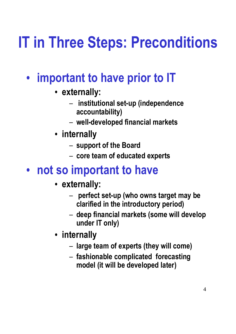## **IT in Three Steps: Preconditions**

- **important to have prior to IT**
	- **externally:** 
		- **institutional set-up (independence accountability)**
		- **well-developed financial markets**
	- **internally**
		- **support of the Board**
		- **core team of educated experts**

#### • **not so important to have**

- **externally:** 
	- **perfect set-up (who owns target may be clarified in the introductory period)**
	- **deep financial markets (some will develop under IT only)**
- **internally**
	- **large team of experts (they will come)**
	- **fashionable complicated forecasting model (it will be developed later)**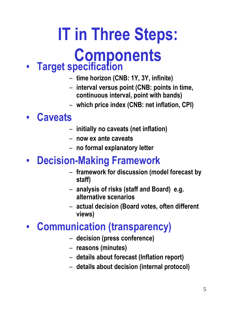# **IT in Three Steps: Components**

#### • **Target specification**

- **time horizon (CNB: 1Y, 3Y, infinite)**
- **interval versus point (CNB: points in time, continuous interval, point with bands)**
- **which price index (CNB: net inflation, CPI)**

#### • **Caveats**

- **initially no caveats (net inflation)**
- **now ex ante caveats**
- **no formal explanatory letter**

#### • **Decision-Making Framework**

- **framework for discussion (model forecast by staff)**
- **analysis of risks (staff and Board) e.g. alternative scenarios**
- **actual decision (Board votes, often different views)**

#### • **Communication (transparency)**

- **decision (press conference)**
- **reasons (minutes)**
- **details about forecast (Inflation report)**
- **details about decision (internal protocol)**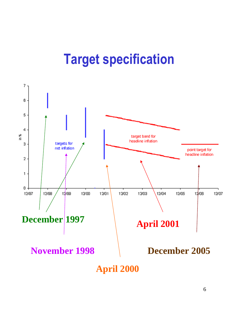### **Target specification**

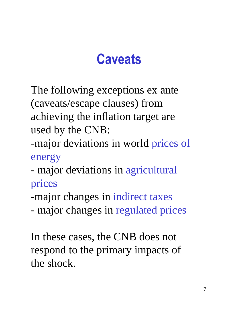### **Caveats**

The following exceptions ex ante (caveats/escape clauses) from achieving the inflation target are used by the CNB:

- -major deviations in world prices of energy
- major deviations in agricultural prices
- -major changes in indirect taxes
- major changes in regulated prices

In these cases, the CNB does not respond to the primary impacts of the shock.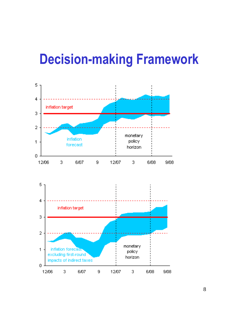### **Decision-making Framework**

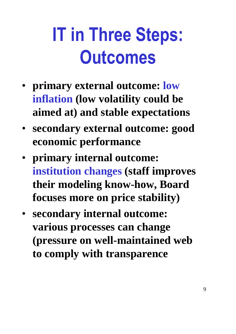# **IT in Three Steps: Outcomes**

- **primary external outcome: low inflation (low volatility could be aimed at) and stable expectations**
- **secondary external outcome: good economic performance**
- **primary internal outcome: institution changes (staff improves their modeling know-how, Board focuses more on price stability)**
- **secondary internal outcome: various processes can change (pressure on well-maintained web to comply with transparence**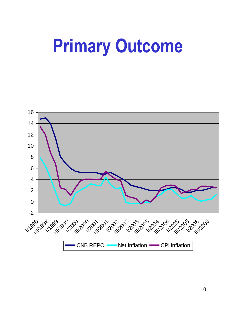## **Primary Outcome**

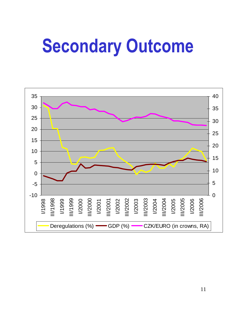## **Secondary Outcome**